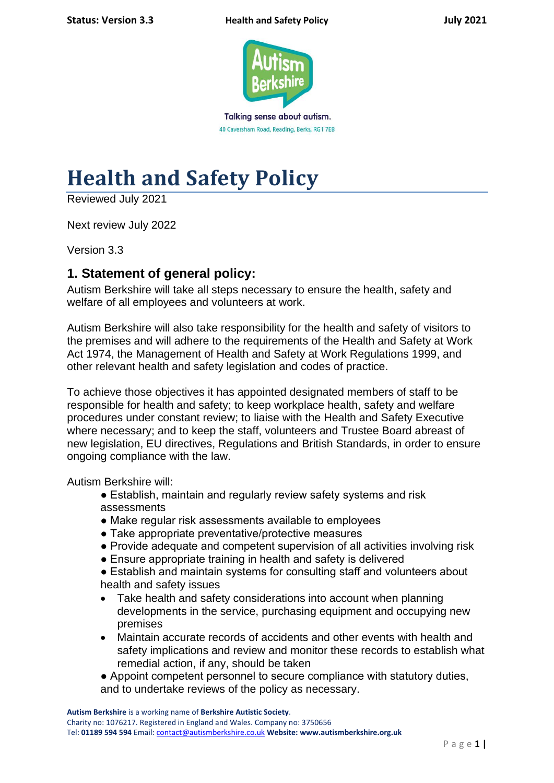

40 Caversham Road, Reading, Berks, RG1 7EB

# **Health and Safety Policy**

Reviewed July 2021

Next review July 2022

Version 3.3

# **1. Statement of general policy:**

Autism Berkshire will take all steps necessary to ensure the health, safety and welfare of all employees and volunteers at work.

Autism Berkshire will also take responsibility for the health and safety of visitors to the premises and will adhere to the requirements of the Health and Safety at Work Act 1974, the Management of Health and Safety at Work Regulations 1999, and other relevant health and safety legislation and codes of practice.

To achieve those objectives it has appointed designated members of staff to be responsible for health and safety; to keep workplace health, safety and welfare procedures under constant review; to liaise with the Health and Safety Executive where necessary; and to keep the staff, volunteers and Trustee Board abreast of new legislation, EU directives, Regulations and British Standards, in order to ensure ongoing compliance with the law.

Autism Berkshire will:

- Establish, maintain and regularly review safety systems and risk assessments
- Make regular risk assessments available to employees
- Take appropriate preventative/protective measures
- Provide adequate and competent supervision of all activities involving risk
- Ensure appropriate training in health and safety is delivered
- Establish and maintain systems for consulting staff and volunteers about health and safety issues
- Take health and safety considerations into account when planning developments in the service, purchasing equipment and occupying new premises
- Maintain accurate records of accidents and other events with health and safety implications and review and monitor these records to establish what remedial action, if any, should be taken
- Appoint competent personnel to secure compliance with statutory duties, and to undertake reviews of the policy as necessary.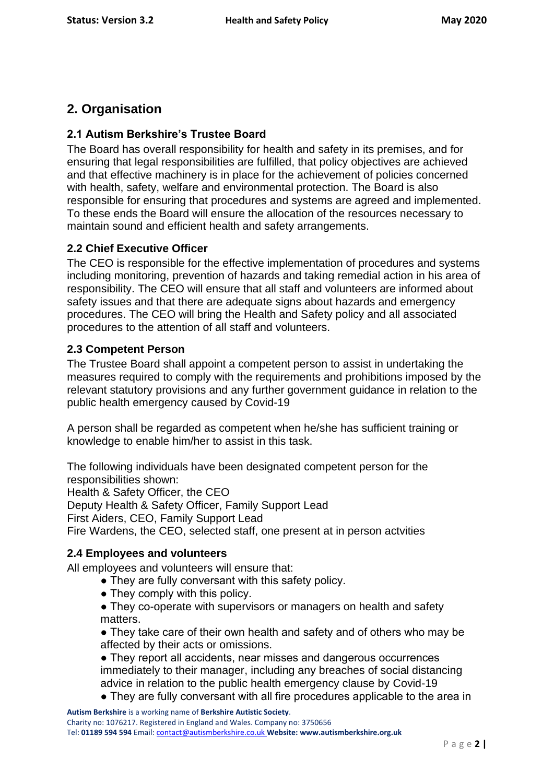# **2. Organisation**

# **2.1 Autism Berkshire's Trustee Board**

The Board has overall responsibility for health and safety in its premises, and for ensuring that legal responsibilities are fulfilled, that policy objectives are achieved and that effective machinery is in place for the achievement of policies concerned with health, safety, welfare and environmental protection. The Board is also responsible for ensuring that procedures and systems are agreed and implemented. To these ends the Board will ensure the allocation of the resources necessary to maintain sound and efficient health and safety arrangements.

## **2.2 Chief Executive Officer**

The CEO is responsible for the effective implementation of procedures and systems including monitoring, prevention of hazards and taking remedial action in his area of responsibility. The CEO will ensure that all staff and volunteers are informed about safety issues and that there are adequate signs about hazards and emergency procedures. The CEO will bring the Health and Safety policy and all associated procedures to the attention of all staff and volunteers.

## **2.3 Competent Person**

The Trustee Board shall appoint a competent person to assist in undertaking the measures required to comply with the requirements and prohibitions imposed by the relevant statutory provisions and any further government guidance in relation to the public health emergency caused by Covid-19

A person shall be regarded as competent when he/she has sufficient training or knowledge to enable him/her to assist in this task.

The following individuals have been designated competent person for the responsibilities shown:

Health & Safety Officer, the CEO Deputy Health & Safety Officer, Family Support Lead First Aiders, CEO, Family Support Lead Fire Wardens, the CEO, selected staff, one present at in person actvities

### **2.4 Employees and volunteers**

All employees and volunteers will ensure that:

- They are fully conversant with this safety policy.
	- They comply with this policy.
	- They co-operate with supervisors or managers on health and safety matters.

• They take care of their own health and safety and of others who may be affected by their acts or omissions.

• They report all accidents, near misses and dangerous occurrences immediately to their manager, including any breaches of social distancing advice in relation to the public health emergency clause by Covid-19

● They are fully conversant with all fire procedures applicable to the area in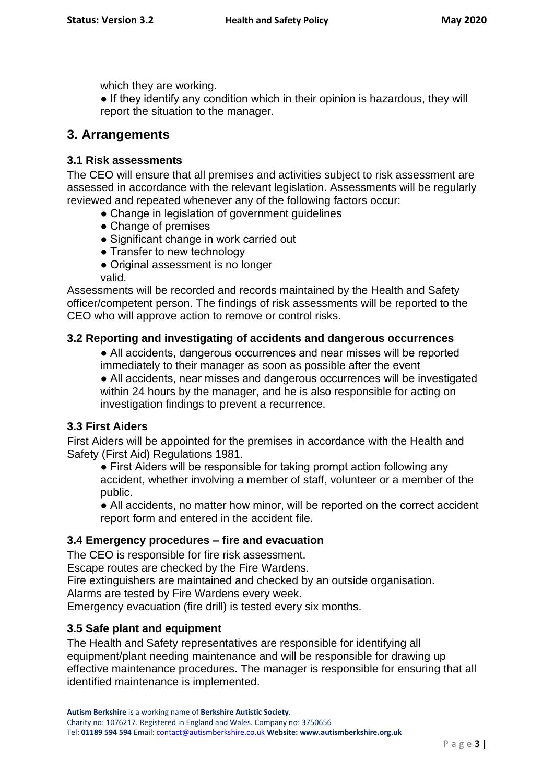which they are working.

• If they identify any condition which in their opinion is hazardous, they will report the situation to the manager.

# **3. Arrangements**

# **3.1 Risk assessments**

The CEO will ensure that all premises and activities subject to risk assessment are assessed in accordance with the relevant legislation. Assessments will be regularly reviewed and repeated whenever any of the following factors occur:

- Change in legislation of government guidelines
- Change of premises
- Significant change in work carried out
- Transfer to new technology
- Original assessment is no longer

valid.

Assessments will be recorded and records maintained by the Health and Safety officer/competent person. The findings of risk assessments will be reported to the CEO who will approve action to remove or control risks.

# **3.2 Reporting and investigating of accidents and dangerous occurrences**

• All accidents, dangerous occurrences and near misses will be reported immediately to their manager as soon as possible after the event

• All accidents, near misses and dangerous occurrences will be investigated within 24 hours by the manager, and he is also responsible for acting on investigation findings to prevent a recurrence.

### **3.3 First Aiders**

First Aiders will be appointed for the premises in accordance with the Health and Safety (First Aid) Regulations 1981.

● First Aiders will be responsible for taking prompt action following any accident, whether involving a member of staff, volunteer or a member of the public.

• All accidents, no matter how minor, will be reported on the correct accident report form and entered in the accident file.

### **3.4 Emergency procedures – fire and evacuation**

The CEO is responsible for fire risk assessment.

Escape routes are checked by the Fire Wardens.

Fire extinguishers are maintained and checked by an outside organisation.

Alarms are tested by Fire Wardens every week.

Emergency evacuation (fire drill) is tested every six months.

### **3.5 Safe plant and equipment**

The Health and Safety representatives are responsible for identifying all equipment/plant needing maintenance and will be responsible for drawing up effective maintenance procedures. The manager is responsible for ensuring that all identified maintenance is implemented.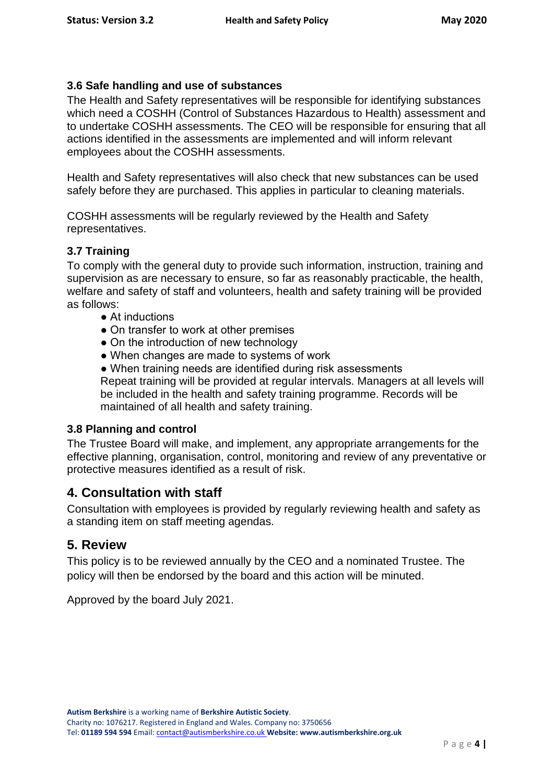## **3.6 Safe handling and use of substances**

The Health and Safety representatives will be responsible for identifying substances which need a COSHH (Control of Substances Hazardous to Health) assessment and to undertake COSHH assessments. The CEO will be responsible for ensuring that all actions identified in the assessments are implemented and will inform relevant employees about the COSHH assessments.

Health and Safety representatives will also check that new substances can be used safely before they are purchased. This applies in particular to cleaning materials.

COSHH assessments will be regularly reviewed by the Health and Safety representatives.

## **3.7 Training**

To comply with the general duty to provide such information, instruction, training and supervision as are necessary to ensure, so far as reasonably practicable, the health, welfare and safety of staff and volunteers, health and safety training will be provided as follows:

- At inductions
- On transfer to work at other premises
- On the introduction of new technology
- When changes are made to systems of work
- When training needs are identified during risk assessments Repeat training will be provided at regular intervals. Managers at all levels will

be included in the health and safety training programme. Records will be maintained of all health and safety training.

## **3.8 Planning and control**

The Trustee Board will make, and implement, any appropriate arrangements for the effective planning, organisation, control, monitoring and review of any preventative or protective measures identified as a result of risk.

# **4. Consultation with staff**

Consultation with employees is provided by regularly reviewing health and safety as a standing item on staff meeting agendas.

# **5. Review**

This policy is to be reviewed annually by the CEO and a nominated Trustee. The policy will then be endorsed by the board and this action will be minuted.

Approved by the board July 2021.